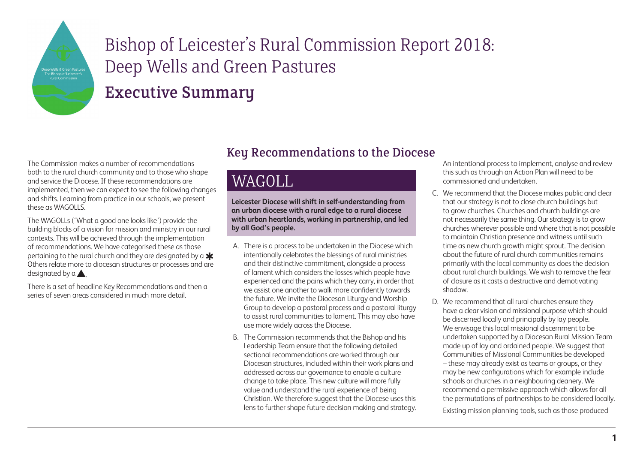

### Executive Summary

The Commission makes a number of recommendations both to the rural church community and to those who shape and service the Diocese. If these recommendations are implemented, then we can expect to see the following changes and shifts. Learning from practice in our schools, we present these as WAGOLLS.

The WAGOLLs ('What a good one looks like') provide the building blocks of a vision for mission and ministry in our rural contexts. This will be achieved through the implementation of recommendations. We have categorised these as those pertaining to the rural church and they are designated by a  $\bigstar$ Others relate more to diocesan structures or processes and are designated by a  $\blacktriangle$ .

There is a set of headline Key Recommendations and then a series of seven areas considered in much more detail.

#### Key Recommendations to the Diocese

## WAGOLL

**Leicester Diocese will shift in self-understanding from an urban diocese with a rural edge to a rural diocese with urban heartlands, working in partnership, and led by all God's people.** 

- A. There is a process to be undertaken in the Diocese which intentionally celebrates the blessings of rural ministries and their distinctive commitment, alongside a process of lament which considers the losses which people have experienced and the pains which they carry, in order that we assist one another to walk more confidently towards the future. We invite the Diocesan Liturgy and Worship Group to develop a pastoral process and a pastoral liturgy to assist rural communities to lament. This may also have use more widely across the Diocese.
- B. The Commission recommends that the Bishop and his Leadership Team ensure that the following detailed sectional recommendations are worked through our Diocesan structures, included within their work plans and addressed across our governance to enable a culture change to take place. This new culture will more fully value and understand the rural experience of being Christian. We therefore suggest that the Diocese uses this lens to further shape future decision making and strategy.

An intentional process to implement, analyse and review this such as through an Action Plan will need to be commissioned and undertaken.

- C. We recommend that the Diocese makes public and clear that our strategy is not to close church buildings but to grow churches. Churches and church buildings are not necessarily the same thing. Our strategy is to grow churches wherever possible and where that is not possible to maintain Christian presence and witness until such time as new church growth might sprout. The decision about the future of rural church communities remains primarily with the local community as does the decision about rural church buildings. We wish to remove the fear of closure as it casts a destructive and demotivating shadow.
- D. We recommend that all rural churches ensure they have a clear vision and missional purpose which should be discerned locally and principally by lay people. We envisage this local missional discernment to be undertaken supported by a Diocesan Rural Mission Team made up of lay and ordained people. We suggest that Communities of Missional Communities be developed – these may already exist as teams or groups, or they may be new configurations which for example include schools or churches in a neighbouring deanery. We recommend a permissive approach which allows for all the permutations of partnerships to be considered locally.

Existing mission planning tools, such as those produced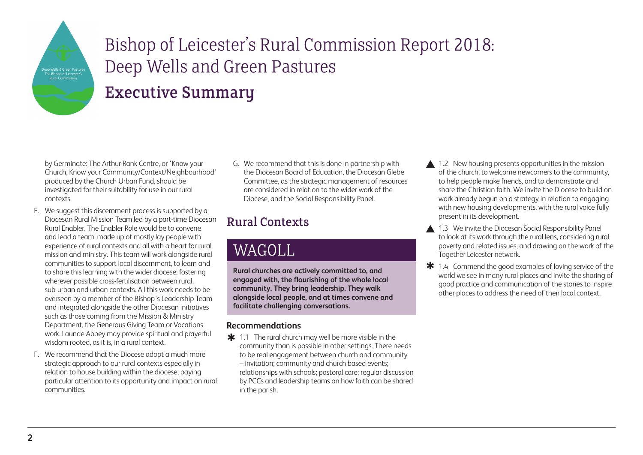

## Executive Summary

by Germinate: The Arthur Rank Centre, or 'Know your Church, Know your Community/Context/Neighbourhood' produced by the Church Urban Fund, should be investigated for their suitability for use in our rural contexts.

- E. We suggest this discernment process is supported by a Diocesan Rural Mission Team led by a part-time Diocesan Rural Enabler. The Enabler Role would be to convene and lead a team, made up of mostly lay people with experience of rural contexts and all with a heart for rural mission and ministry. This team will work alongside rural communities to support local discernment, to learn and to share this learning with the wider diocese; fostering wherever possible cross-fertilisation between rural, sub-urban and urban contexts. All this work needs to be overseen by a member of the Bishop's Leadership Team and integrated alongside the other Diocesan initiatives such as those coming from the Mission & Ministry Department, the Generous Giving Team or Vocations work. Launde Abbey may provide spiritual and prayerful wisdom rooted, as it is, in a rural context.
- F. We recommend that the Diocese adopt a much more strategic approach to our rural contexts especially in relation to house building within the diocese; paying particular attention to its opportunity and impact on rural communities.

G. We recommend that this is done in partnership with the Diocesan Board of Education, the Diocesan Glebe Committee, as the strategic management of resources are considered in relation to the wider work of the Diocese, and the Social Responsibility Panel.

### Rural Contexts

# WAGOLL

**Rural churches are actively committed to, and engaged with, the flourishing of the whole local community. They bring leadership. They walk alongside local people, and at times convene and facilitate challenging conversations.** 

#### **Recommendations**

 $\frac{1}{\ast}$  1.1 The rural church may well be more visible in the community than is possible in other settings. There needs to be real engagement between church and community – invitation; community and church based events; relationships with schools; pastoral care; regular discussion by PCCs and leadership teams on how faith can be shared in the parish.

- 1.2 New housing presents opportunities in the mission of the church, to welcome newcomers to the community, to help people make friends, and to demonstrate and share the Christian faith. We invite the Diocese to build on work already begun on a strategy in relation to engaging with new housing developments, with the rural voice fully present in its development.
- 1.3 We invite the Diocesan Social Responsibility Panel to look at its work through the rural lens, considering rural poverty and related issues, and drawing on the work of the Together Leicester network.
- $*$  1.4 Commend the good examples of loving service of the world we see in many rural places and invite the sharing of good practice and communication of the stories to inspire other places to address the need of their local context.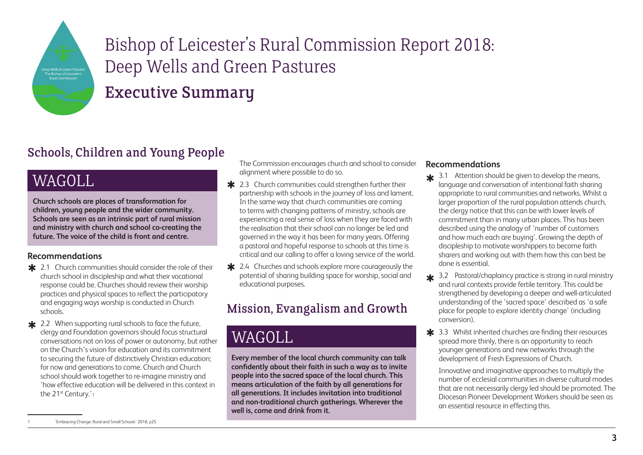

Executive Summary

### Schools, Children and Young People

# WAGOLL

**Church schools are places of transformation for children, young people and the wider community. Schools are seen as an intrinsic part of rural mission and ministry with church and school co-creating the future. The voice of the child is front and centre.**

#### **Recommendations**

- **\*** 2.1 Church communities should consider the role of their church school in discipleship and what their vocational response could be. Churches should review their worship practices and physical spaces to reflect the participatory and engaging ways worship is conducted in Church schools.
- **\*** 2.2 When supporting rural schools to face the future, clergy and Foundation governors should focus structural conversations not on loss of power or autonomy, but rather on the Church's vision for education and its commitment to securing the future of distinctively Christian education; for now and generations to come. Church and Church school should work together to re-imagine ministry and 'how effective education will be delivered in this context in the 21<sup>st</sup> Century.'<sub>1</sub>

The Commission encourages church and school to consider alignment where possible to do so.

- **\*** 2.3 Church communities could strengthen further their partnership with schools in the journey of loss and lament. In the same way that church communities are coming to terms with changing patterns of ministry, schools are experiencing a real sense of loss when they are faced with the realisation that their school can no longer be led and governed in the way it has been for many years. Offering a pastoral and hopeful response to schools at this time is critical and our calling to offer a loving service of the world.
- \* 2.4 Churches and schools explore more courageously the potential of sharing building space for worship, social and educational purposes.

### Mission, Evangalism and Growth

# WAGOLL

**Every member of the local church community can talk confidently about their faith in such a way as to invite people into the sacred space of the local church. This means articulation of the faith by all generations for all generations. It includes invitation into traditional and non-traditional church gatherings. Wherever the well is, come and drink from it.**

#### **Recommendations**

- $\frac{1}{\sqrt{2}}$  3.1 Attention should be given to develop the means, language and conversation of intentional faith sharing appropriate to rural communities and networks. Whilst a larger proportion of the rural population attends church, the clergy notice that this can be with lower levels of commitment than in many urban places. This has been described using the analogy of 'number of customers and how much each are buying'. Growing the depth of discipleship to motivate worshippers to become faith sharers and working out with them how this can best be done is essential.
- $\frac{1}{2}$  3.2 Pastoral/chaplaincy practice is strong in rural ministry and rural contexts provide fertile territory. This could be strengthened by developing a deeper and well-articulated understanding of the 'sacred space' described as 'a safe place for people to explore identity change' (including conversion).
- **\*** 3.3 Whilst inherited churches are finding their resources spread more thinly, there is an opportunity to reach younger generations and new networks through the development of Fresh Expressions of Church.

Innovative and imaginative approaches to multiply the number of ecclesial communities in diverse cultural modes that are not necessarily clergy led should be promoted. The Diocesan Pioneer Development Workers should be seen as an essential resource in effecting this.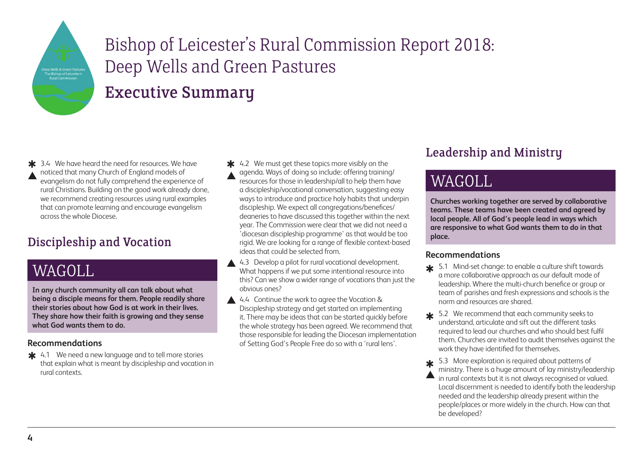

## Executive Summary

**≭** 3.4 We have heard the need for resources. We have noticed that many Church of England models of evangelism do not fully comprehend the experience of rural Christians. Building on the good work already done, we recommend creating resources using rural examples that can promote learning and encourage evangelism across the whole Diocese.  $\blacktriangle$ 

#### Discipleship and Vocation

## WAGOLL

**In any church community all can talk about what being a disciple means for them. People readily share their stories about how God is at work in their lives. They share how their faith is growing and they sense what God wants them to do.**

#### **Recommendations**

 $\frac{1}{2}$  4.1 We need a new language and to tell more stories that explain what is meant by discipleship and vocation in rural contexts.

\* 4.2 We must get these topics more visibly on the agenda. Ways of doing so include: offering training/ resources for those in leadership/all to help them have a discipleship/vocational conversation, suggesting easy ways to introduce and practice holy habits that underpin discipleship. We expect all congregations/benefices/ deaneries to have discussed this together within the next year. The Commission were clear that we did not need a 'diocesan discipleship programme' as that would be too rigid. We are looking for a range of flexible context-based ideas that could be selected from.  $\blacktriangle$ 

- 4.3 Develop a pilot for rural vocational development. What happens if we put some intentional resource into this? Can we show a wider range of vocations than just the obvious ones?  $\blacktriangle$
- 4.4 Continue the work to agree the Vocation & Discipleship strategy and get started on implementing it. There may be ideas that can be started quickly before the whole strategy has been agreed. We recommend that those responsible for leading the Diocesan implementation of Setting God's People Free do so with a 'rural lens'.

### Leadership and Ministry

# WAGOLL

**Churches working together are served by collaborative teams. These teams have been created and agreed by local people. All of God's people lead in ways which are responsive to what God wants them to do in that place.**

#### **Recommendations**

- $\frac{1}{\sqrt{2}}$  5.1 Mind-set change: to enable a culture shift towards a more collaborative approach as our default mode of leadership. Where the multi-church benefice or group or team of parishes and fresh expressions and schools is the norm and resources are shared.
- $\frac{1}{\sqrt{2}}$  5.2 We recommend that each community seeks to understand, articulate and sift out the different tasks required to lead our churches and who should best fulfil them. Churches are invited to audit themselves against the work they have identified for themselves.
- 5.3 More exploration is required about patterns of ministry. There is a huge amount of lay ministry/leadership in rural contexts but it is not always recognised or valued. Local discernment is needed to identify both the leadership needed and the leadership already present within the people/places or more widely in the church. How can that be developed? **de**  $\blacktriangle$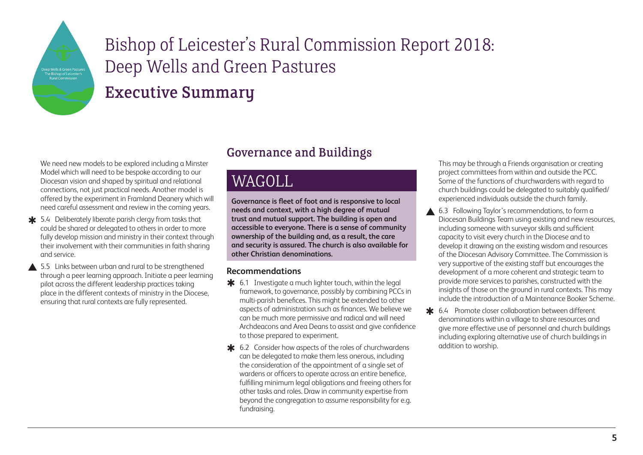

## Executive Summary

We need new models to be explored including a Minster Model which will need to be bespoke according to our Diocesan vision and shaped by spiritual and relational connections, not just practical needs. Another model is offered by the experiment in Framland Deanery which will need careful assessment and review in the coming years.

- **\*** 5.4 Deliberately liberate parish clergy from tasks that could be shared or delegated to others in order to more fully develop mission and ministry in their context through their involvement with their communities in faith sharing and service.
- ▲ 5.5 Links between urban and rural to be strengthened through a peer learning approach. Initiate a peer learning pilot across the different leadership practices taking place in the different contexts of ministry in the Diocese, ensuring that rural contexts are fully represented.

#### Governance and Buildings

## WAGOLL

**Governance is fleet of foot and is responsive to local needs and context, with a high degree of mutual trust and mutual support. The building is open and accessible to everyone. There is a sense of community ownership of the building and, as a result, the care and security is assured. The church is also available for other Christian denominations.**

#### **Recommendations**

- $\clubsuit$  6.1 Investigate a much lighter touch, within the legal framework, to governance, possibly by combining PCCs in multi-parish benefices. This might be extended to other aspects of administration such as finances. We believe we can be much more permissive and radical and will need Archdeacons and Area Deans to assist and give confidence to those prepared to experiment.
- **★** 6.2 Consider how aspects of the roles of churchwardens can be delegated to make them less onerous, including the consideration of the appointment of a single set of wardens or officers to operate across an entire benefice, fulfilling minimum legal obligations and freeing others for other tasks and roles. Draw in community expertise from beyond the congregation to assume responsibility for e.g. fundraising.

This may be through a Friends organisation or creating project committees from within and outside the PCC. Some of the functions of churchwardens with regard to church buildings could be delegated to suitably qualified/ experienced individuals outside the church family.

- $\blacktriangle$ 6.3 Following Taylor's recommendations, to form a Diocesan Buildings Team using existing and new resources, including someone with surveyor skills and sufficient capacity to visit every church in the Diocese and to develop it drawing on the existing wisdom and resources of the Diocesan Advisory Committee. The Commission is very supportive of the existing staff but encourages the development of a more coherent and strategic team to provide more services to parishes, constructed with the insights of those on the ground in rural contexts. This may include the introduction of a Maintenance Booker Scheme.
- **\*** 6.4 Promote closer collaboration between different denominations within a village to share resources and give more effective use of personnel and church buildings including exploring alternative use of church buildings in addition to worship.